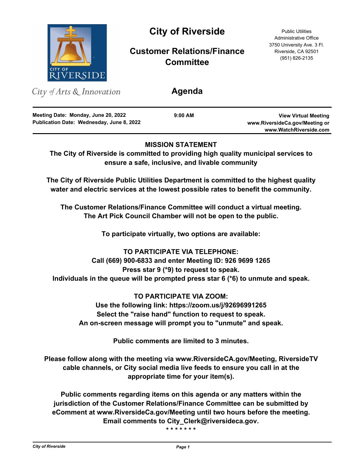

# **MISSION STATEMENT**

**The City of Riverside is committed to providing high quality municipal services to ensure a safe, inclusive, and livable community**

**The City of Riverside Public Utilities Department is committed to the highest quality water and electric services at the lowest possible rates to benefit the community.**

**The Customer Relations/Finance Committee will conduct a virtual meeting. The Art Pick Council Chamber will not be open to the public.**

**To participate virtually, two options are available:**

**TO PARTICIPATE VIA TELEPHONE: Call (669) 900-6833 and enter Meeting ID: 926 9699 1265 Press star 9 (\*9) to request to speak. Individuals in the queue will be prompted press star 6 (\*6) to unmute and speak.**

**TO PARTICIPATE VIA ZOOM: Use the following link: https://zoom.us/j/92696991265 Select the "raise hand" function to request to speak. An on-screen message will prompt you to "unmute" and speak.**

**Public comments are limited to 3 minutes.**

**Please follow along with the meeting via www.RiversideCA.gov/Meeting, RiversideTV cable channels, or City social media live feeds to ensure you call in at the appropriate time for your item(s).**

**Public comments regarding items on this agenda or any matters within the jurisdiction of the Customer Relations/Finance Committee can be submitted by eComment at www.RiversideCa.gov/Meeting until two hours before the meeting. Email comments to City\_Clerk@riversideca.gov.**

**\* \* \* \* \* \* \***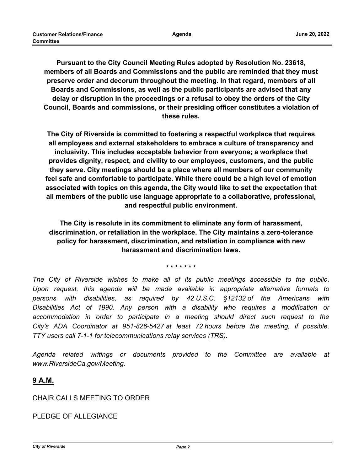**Pursuant to the City Council Meeting Rules adopted by Resolution No. 23618, members of all Boards and Commissions and the public are reminded that they must preserve order and decorum throughout the meeting. In that regard, members of all Boards and Commissions, as well as the public participants are advised that any delay or disruption in the proceedings or a refusal to obey the orders of the City Council, Boards and commissions, or their presiding officer constitutes a violation of these rules.**

**The City of Riverside is committed to fostering a respectful workplace that requires all employees and external stakeholders to embrace a culture of transparency and inclusivity. This includes acceptable behavior from everyone; a workplace that provides dignity, respect, and civility to our employees, customers, and the public they serve. City meetings should be a place where all members of our community feel safe and comfortable to participate. While there could be a high level of emotion associated with topics on this agenda, the City would like to set the expectation that all members of the public use language appropriate to a collaborative, professional, and respectful public environment.**

**The City is resolute in its commitment to eliminate any form of harassment, discrimination, or retaliation in the workplace. The City maintains a zero-tolerance policy for harassment, discrimination, and retaliation in compliance with new harassment and discrimination laws.**

**\* \* \* \* \* \* \***

*The City of Riverside wishes to make all of its public meetings accessible to the public. Upon request, this agenda will be made available in appropriate alternative formats to persons with disabilities, as required by 42 U.S.C. §12132 of the Americans with Disabilities Act of 1990. Any person with a disability who requires a modification or*  accommodation in order to participate in a meeting should direct such request to the *City's ADA Coordinator at 951-826-5427 at least 72 hours before the meeting, if possible. TTY users call 7-1-1 for telecommunications relay services (TRS).*

*Agenda related writings or documents provided to the Committee are available at www.RiversideCa.gov/Meeting.*

# **9 A.M.**

# CHAIR CALLS MEETING TO ORDER

PLEDGE OF ALLEGIANCE

*City of Riverside Page 2*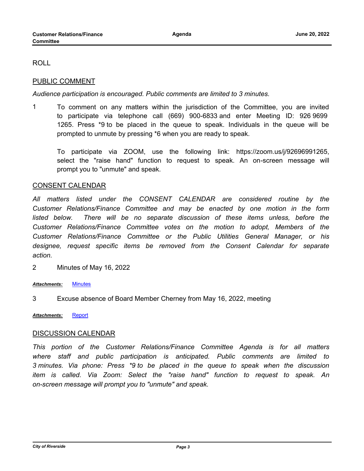ROLL

# PUBLIC COMMENT

*Audience participation is encouraged. Public comments are limited to 3 minutes.*

1 To comment on any matters within the jurisdiction of the Committee, you are invited to participate via telephone call (669) 900-6833 and enter Meeting ID: 926 9699 1265. Press \*9 to be placed in the queue to speak. Individuals in the queue will be prompted to unmute by pressing \*6 when you are ready to speak.

To participate via ZOOM, use the following link: https://zoom.us/j/92696991265, select the "raise hand" function to request to speak. An on-screen message will prompt you to "unmute" and speak.

#### CONSENT CALENDAR

*All matters listed under the CONSENT CALENDAR are considered routine by the Customer Relations/Finance Committee and may be enacted by one motion in the form*  listed below. There will be no separate discussion of these items unless, before the *Customer Relations/Finance Committee votes on the motion to adopt, Members of the Customer Relations/Finance Committee or the Public Utilities General Manager, or his designee, request specific items be removed from the Consent Calendar for separate action.*

2 Minutes of May 16, 2022

#### *Attachments:* [Minutes](http://riversideca.legistar.com/gateway.aspx?M=F&ID=e6a71e7e-61bf-4caa-9cc6-44a657e94c1e.pdf)

3 Excuse absence of Board Member Cherney from May 16, 2022, meeting

*Attachments:* [Report](http://riversideca.legistar.com/gateway.aspx?M=F&ID=ea81403d-1d02-40ca-9a73-8aef66afba33.docx)

# DISCUSSION CALENDAR

*This portion of the Customer Relations/Finance Committee Agenda is for all matters where staff and public participation is anticipated. Public comments are limited to 3 minutes. Via phone: Press \*9 to be placed in the queue to speak when the discussion item is called. Via Zoom: Select the "raise hand" function to request to speak. An on-screen message will prompt you to "unmute" and speak.*